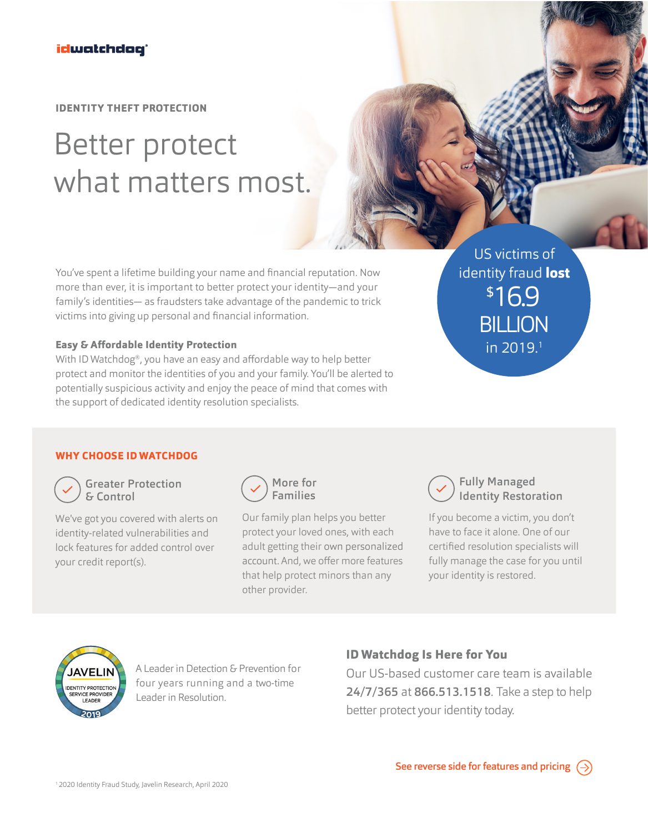**IDENTITY THEFT PROTECTION**

# Better protect what matters most.

You've spent a lifetime building your name and financial reputation. Now more than ever, it is important to better protect your identity—and your family's identities— as fraudsters take advantage of the pandemic to trick victims into giving up personal and financial information.

#### **Easy & Affordable Identity Protection**

With ID Watchdog®, you have an easy and affordable way to help better protect and monitor the identities of you and your family. You'll be alerted to potentially suspicious activity and enjoy the peace of mind that comes with the support of dedicated identity resolution specialists.

US victims of identity fraud **lost** \$16.9 **BILLION** in 2019.1

### **WHY CHOOSE ID WATCHDOG**



Greater Protection & Control

We've got you covered with alerts on identity-related vulnerabilities and lock features for added control over your credit report(s).



Our family plan helps you better protect your loved ones, with each adult getting their own personalized account. And, we offer more features that help protect minors than any other provider.



If you become a victim, you don't have to face it alone. One of our certified resolution specialists will fully manage the case for you until your identity is restored.



A Leader in Detection & Prevention for four years running and a two-time Leader in Resolution.

## **ID Watchdog Is Here for You**

Our US-based customer care team is available 24/7/365 at 866.513.1518. Take a step to help better protect your identity today.